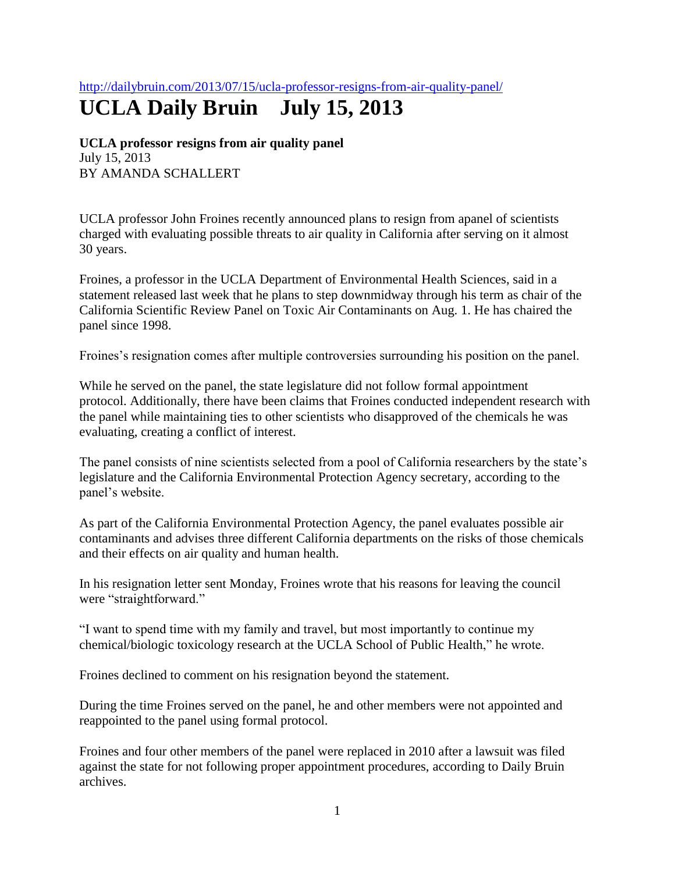<http://dailybruin.com/2013/07/15/ucla-professor-resigns-from-air-quality-panel/>

## **UCLA Daily Bruin July 15, 2013**

**UCLA professor resigns from air quality panel** July 15, 2013 BY AMANDA SCHALLERT

UCLA professor John Froines recently announced plans to resign from apanel of scientists charged with evaluating possible threats to air quality in California after serving on it almost 30 years.

Froines, a professor in the UCLA Department of Environmental Health Sciences, said in a statement released last week that he plans to step downmidway through his term as chair of the California Scientific Review Panel on Toxic Air Contaminants on Aug. 1. He has chaired the panel since 1998.

Froines's resignation comes after multiple controversies surrounding his position on the panel.

While he served on the panel, the state legislature did not follow formal appointment protocol. Additionally, there have been claims that Froines conducted independent research with the panel while maintaining ties to other scientists who disapproved of the chemicals he was evaluating, creating a conflict of interest.

The panel consists of nine scientists selected from a pool of California researchers by the state's legislature and the California Environmental Protection Agency secretary, according to the panel's website.

As part of the California Environmental Protection Agency, the panel evaluates possible air contaminants and advises three different California departments on the risks of those chemicals and their effects on air quality and human health.

In his resignation letter sent Monday, Froines wrote that his reasons for leaving the council were "straightforward."

"I want to spend time with my family and travel, but most importantly to continue my chemical/biologic toxicology research at the UCLA School of Public Health," he wrote.

Froines declined to comment on his resignation beyond the statement.

During the time Froines served on the panel, he and other members were not appointed and reappointed to the panel using formal protocol.

Froines and four other members of the panel were replaced in 2010 after a lawsuit was filed against the state for not following proper appointment procedures, according to Daily Bruin archives.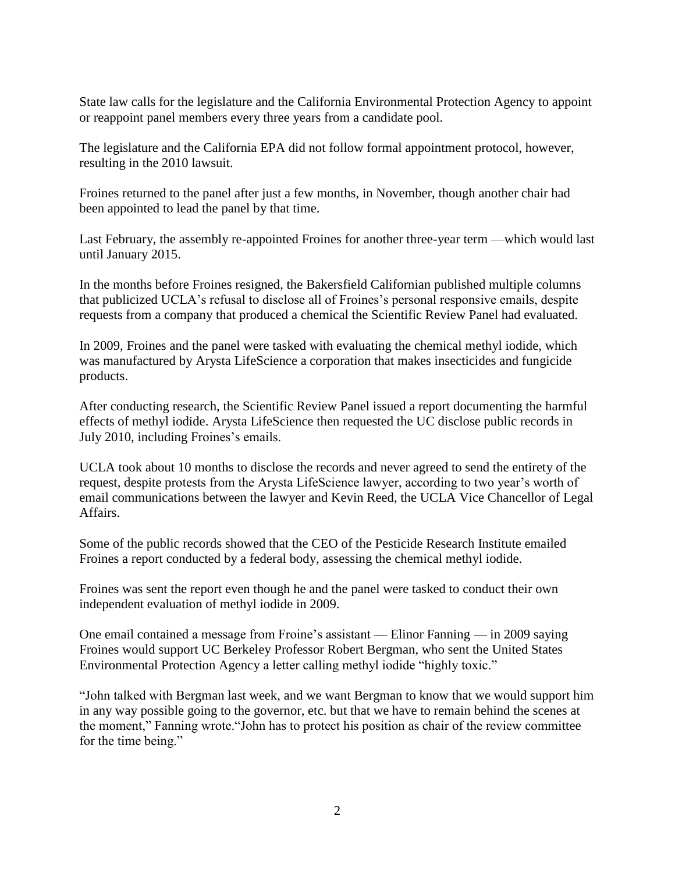State law calls for the legislature and the California Environmental Protection Agency to appoint or reappoint panel members every three years from a candidate pool.

The legislature and the California EPA did not follow formal appointment protocol, however, resulting in the 2010 lawsuit.

Froines returned to the panel after just a few months, in November, though another chair had been appointed to lead the panel by that time.

Last February, the assembly re-appointed Froines for another three-year term —which would last until January 2015.

In the months before Froines resigned, the Bakersfield Californian published multiple columns that publicized UCLA's refusal to disclose all of Froines's personal responsive emails, despite requests from a company that produced a chemical the Scientific Review Panel had evaluated.

In 2009, Froines and the panel were tasked with evaluating the chemical methyl iodide, which was manufactured by Arysta LifeScience a corporation that makes insecticides and fungicide products.

After conducting research, the Scientific Review Panel issued a report documenting the harmful effects of methyl iodide. Arysta LifeScience then requested the UC disclose public records in July 2010, including Froines's emails.

UCLA took about 10 months to disclose the records and never agreed to send the entirety of the request, despite protests from the Arysta LifeScience lawyer, according to two year's worth of email communications between the lawyer and Kevin Reed, the UCLA Vice Chancellor of Legal Affairs.

Some of the public records showed that the CEO of the Pesticide Research Institute emailed Froines a report conducted by a federal body, assessing the chemical methyl iodide.

Froines was sent the report even though he and the panel were tasked to conduct their own independent evaluation of methyl iodide in 2009.

One email contained a message from Froine's assistant — Elinor Fanning — in 2009 saying Froines would support UC Berkeley Professor Robert Bergman, who sent the United States Environmental Protection Agency a letter calling methyl iodide "highly toxic."

"John talked with Bergman last week, and we want Bergman to know that we would support him in any way possible going to the governor, etc. but that we have to remain behind the scenes at the moment," Fanning wrote."John has to protect his position as chair of the review committee for the time being."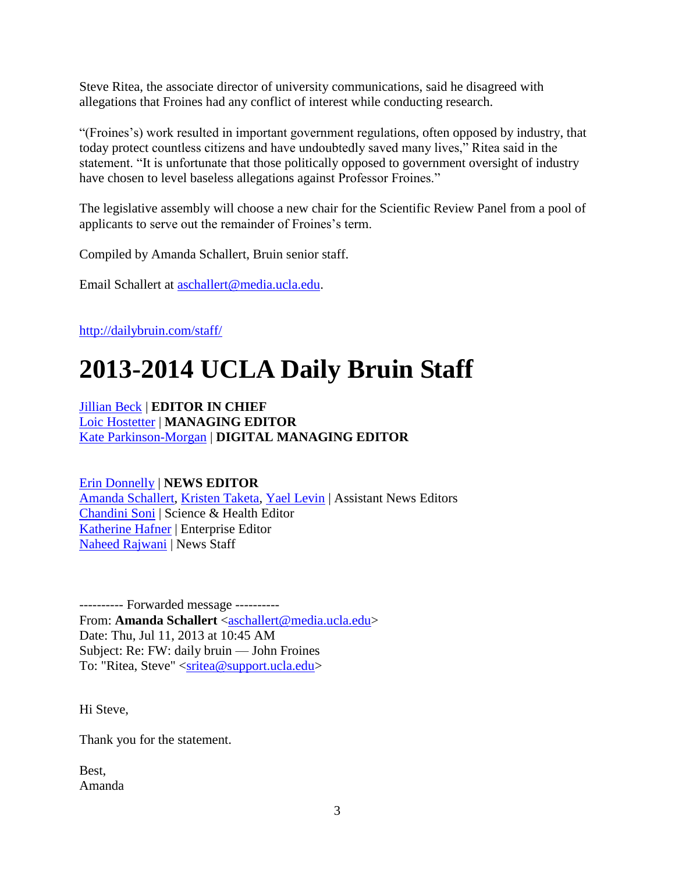Steve Ritea, the associate director of university communications, said he disagreed with allegations that Froines had any conflict of interest while conducting research.

"(Froines's) work resulted in important government regulations, often opposed by industry, that today protect countless citizens and have undoubtedly saved many lives," Ritea said in the statement. "It is unfortunate that those politically opposed to government oversight of industry have chosen to level baseless allegations against Professor Froines."

The legislative assembly will choose a new chair for the Scientific Review Panel from a pool of applicants to serve out the remainder of Froines's term.

Compiled by Amanda Schallert, Bruin senior staff.

Email Schallert at [aschallert@media.ucla.edu.](mailto:aschallert@media.ucla.edu)

<http://dailybruin.com/staff/>

## **2013-2014 UCLA Daily Bruin Staff**

[Jillian Beck](mailto:jbeck@media.ucla.edu) | **EDITOR IN CHIEF** [Loic Hostetter](mailto:lhostetter@media.ucla.edu) | **MANAGING EDITOR** [Kate Parkinson-Morgan](mailto:kparkinsonmorgan@media.ucla.edu) | **DIGITAL MANAGING EDITO[R](mailto:asherrard@media.ucla.edu)**

[Erin Donnelly](mailto:edonnelly@media.ucla.edu) | **NEWS EDITOR** [Amanda Schallert,](mailto:aschallert@media.ucla.edu) [Kristen Taketa,](mailto:ktaketa@media.ucla.edu) [Yael Levin](mailto:ylevin@media.ucla.edu) | Assistant News Editors [Chandini Soni](mailto:csoni@media.ucla.edu) | Science & Health Editor [Katherine Hafner](mailto:khafner@media.ucla.edu) | Enterprise Editor [Naheed Rajwani](mailto:nrajwani@media.ucla.edu) | News Staff

---------- Forwarded message ---------- From: **Amanda Schallert** [<aschallert@media.ucla.edu>](mailto:aschallert@media.ucla.edu) Date: Thu, Jul 11, 2013 at 10:45 AM Subject: Re: FW: daily bruin — John Froines To: "Ritea, Steve" [<sritea@support.ucla.edu>](mailto:sritea@support.ucla.edu)

Hi Steve,

Thank you for the statement.

Best, Amanda